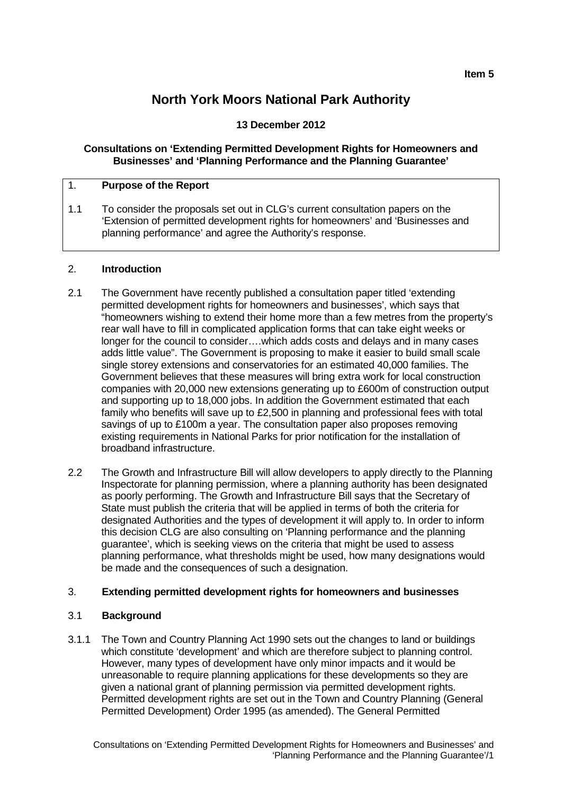# **North York Moors National Park Authority**

## **13 December 2012**

### **Consultations on 'Extending Permitted Development Rights for Homeowners and Businesses' and 'Planning Performance and the Planning Guarantee'**

## 1. **Purpose of the Report**

1.1 To consider the proposals set out in CLG's current consultation papers on the 'Extension of permitted development rights for homeowners' and 'Businesses and planning performance' and agree the Authority's response.

#### 2. **Introduction**

- 2.1 The Government have recently published a consultation paper titled 'extending permitted development rights for homeowners and businesses', which says that "homeowners wishing to extend their home more than a few metres from the property's rear wall have to fill in complicated application forms that can take eight weeks or longer for the council to consider….which adds costs and delays and in many cases adds little value". The Government is proposing to make it easier to build small scale single storey extensions and conservatories for an estimated 40,000 families. The Government believes that these measures will bring extra work for local construction companies with 20,000 new extensions generating up to £600m of construction output and supporting up to 18,000 jobs. In addition the Government estimated that each family who benefits will save up to £2,500 in planning and professional fees with total savings of up to £100m a year. The consultation paper also proposes removing existing requirements in National Parks for prior notification for the installation of broadband infrastructure.
- 2.2 The Growth and Infrastructure Bill will allow developers to apply directly to the Planning Inspectorate for planning permission, where a planning authority has been designated as poorly performing. The Growth and Infrastructure Bill says that the Secretary of State must publish the criteria that will be applied in terms of both the criteria for designated Authorities and the types of development it will apply to. In order to inform this decision CLG are also consulting on 'Planning performance and the planning guarantee', which is seeking views on the criteria that might be used to assess planning performance, what thresholds might be used, how many designations would be made and the consequences of such a designation.

#### 3. **Extending permitted development rights for homeowners and businesses**

#### 3.1 **Background**

3.1.1 The Town and Country Planning Act 1990 sets out the changes to land or buildings which constitute 'development' and which are therefore subject to planning control. However, many types of development have only minor impacts and it would be unreasonable to require planning applications for these developments so they are given a national grant of planning permission via permitted development rights. Permitted development rights are set out in the Town and Country Planning (General Permitted Development) Order 1995 (as amended). The General Permitted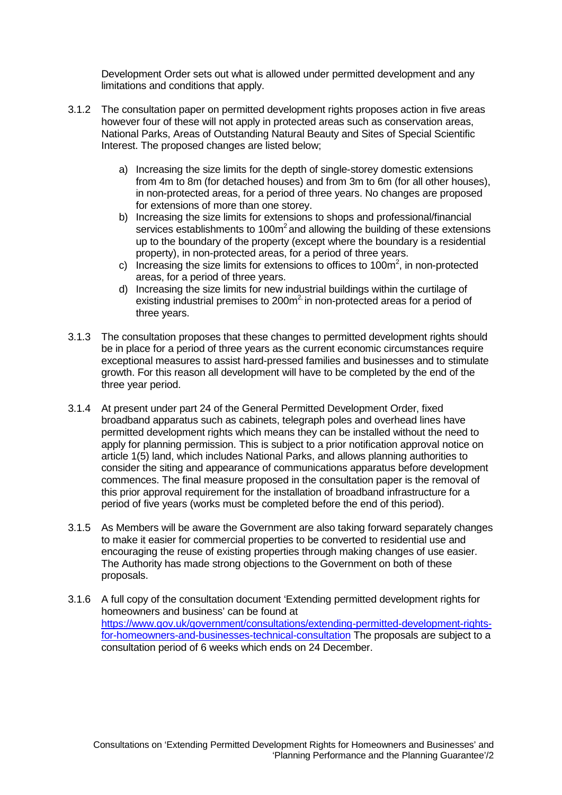Development Order sets out what is allowed under permitted development and any limitations and conditions that apply.

- 3.1.2 The consultation paper on permitted development rights proposes action in five areas however four of these will not apply in protected areas such as conservation areas, National Parks, Areas of Outstanding Natural Beauty and Sites of Special Scientific Interest. The proposed changes are listed below;
	- a) Increasing the size limits for the depth of single-storey domestic extensions from 4m to 8m (for detached houses) and from 3m to 6m (for all other houses), in non-protected areas, for a period of three years. No changes are proposed for extensions of more than one storey.
	- b) Increasing the size limits for extensions to shops and professional/financial services establishments to  $100m^2$  and allowing the building of these extensions up to the boundary of the property (except where the boundary is a residential property), in non-protected areas, for a period of three years.
	- c) Increasing the size limits for extensions to offices to 100 $m<sup>2</sup>$ , in non-protected areas, for a period of three years.
	- d) Increasing the size limits for new industrial buildings within the curtilage of existing industrial premises to  $200m^2$  in non-protected areas for a period of three years.
- 3.1.3 The consultation proposes that these changes to permitted development rights should be in place for a period of three years as the current economic circumstances require exceptional measures to assist hard-pressed families and businesses and to stimulate growth. For this reason all development will have to be completed by the end of the three year period.
- 3.1.4 At present under part 24 of the General Permitted Development Order, fixed broadband apparatus such as cabinets, telegraph poles and overhead lines have permitted development rights which means they can be installed without the need to apply for planning permission. This is subject to a prior notification approval notice on article 1(5) land, which includes National Parks, and allows planning authorities to consider the siting and appearance of communications apparatus before development commences. The final measure proposed in the consultation paper is the removal of this prior approval requirement for the installation of broadband infrastructure for a period of five years (works must be completed before the end of this period).
- 3.1.5 As Members will be aware the Government are also taking forward separately changes to make it easier for commercial properties to be converted to residential use and encouraging the reuse of existing properties through making changes of use easier. The Authority has made strong objections to the Government on both of these proposals.
- 3.1.6 A full copy of the consultation document 'Extending permitted development rights for homeowners and business' can be found at [https://www.gov.uk/government/consultations/extending-permitted-development-rights](https://www.gov.uk/government/consultations/extending-permitted-development-rights-for-homeowners-and-businesses-technical-consultation)[for-homeowners-and-businesses-technical-consultation](https://www.gov.uk/government/consultations/extending-permitted-development-rights-for-homeowners-and-businesses-technical-consultation) The proposals are subject to a consultation period of 6 weeks which ends on 24 December.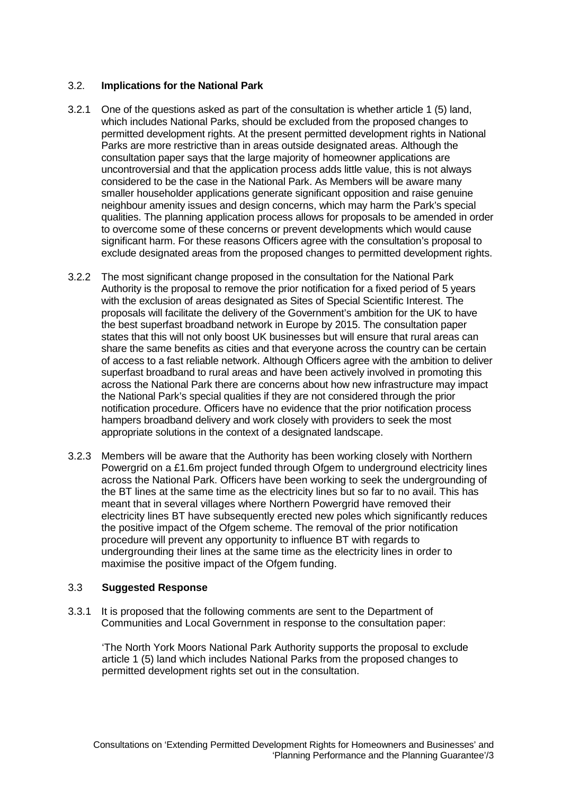## 3.2. **Implications for the National Park**

- 3.2.1 One of the questions asked as part of the consultation is whether article 1 (5) land, which includes National Parks, should be excluded from the proposed changes to permitted development rights. At the present permitted development rights in National Parks are more restrictive than in areas outside designated areas. Although the consultation paper says that the large majority of homeowner applications are uncontroversial and that the application process adds little value, this is not always considered to be the case in the National Park. As Members will be aware many smaller householder applications generate significant opposition and raise genuine neighbour amenity issues and design concerns, which may harm the Park's special qualities. The planning application process allows for proposals to be amended in order to overcome some of these concerns or prevent developments which would cause significant harm. For these reasons Officers agree with the consultation's proposal to exclude designated areas from the proposed changes to permitted development rights.
- 3.2.2 The most significant change proposed in the consultation for the National Park Authority is the proposal to remove the prior notification for a fixed period of 5 years with the exclusion of areas designated as Sites of Special Scientific Interest. The proposals will facilitate the delivery of the Government's ambition for the UK to have the best superfast broadband network in Europe by 2015. The consultation paper states that this will not only boost UK businesses but will ensure that rural areas can share the same benefits as cities and that everyone across the country can be certain of access to a fast reliable network. Although Officers agree with the ambition to deliver superfast broadband to rural areas and have been actively involved in promoting this across the National Park there are concerns about how new infrastructure may impact the National Park's special qualities if they are not considered through the prior notification procedure. Officers have no evidence that the prior notification process hampers broadband delivery and work closely with providers to seek the most appropriate solutions in the context of a designated landscape.
- 3.2.3 Members will be aware that the Authority has been working closely with Northern Powergrid on a £1.6m project funded through Ofgem to underground electricity lines across the National Park. Officers have been working to seek the undergrounding of the BT lines at the same time as the electricity lines but so far to no avail. This has meant that in several villages where Northern Powergrid have removed their electricity lines BT have subsequently erected new poles which significantly reduces the positive impact of the Ofgem scheme. The removal of the prior notification procedure will prevent any opportunity to influence BT with regards to undergrounding their lines at the same time as the electricity lines in order to maximise the positive impact of the Ofgem funding.

#### 3.3 **Suggested Response**

3.3.1 It is proposed that the following comments are sent to the Department of Communities and Local Government in response to the consultation paper:

'The North York Moors National Park Authority supports the proposal to exclude article 1 (5) land which includes National Parks from the proposed changes to permitted development rights set out in the consultation.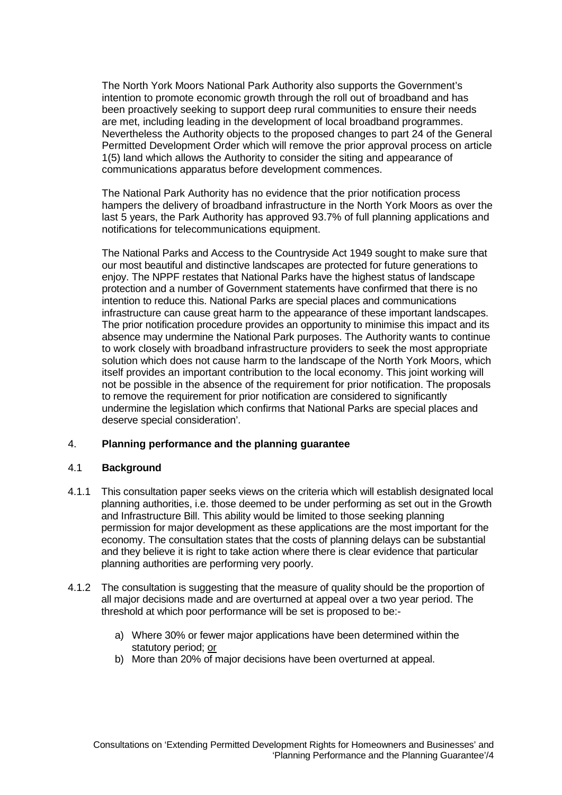The North York Moors National Park Authority also supports the Government's intention to promote economic growth through the roll out of broadband and has been proactively seeking to support deep rural communities to ensure their needs are met, including leading in the development of local broadband programmes. Nevertheless the Authority objects to the proposed changes to part 24 of the General Permitted Development Order which will remove the prior approval process on article 1(5) land which allows the Authority to consider the siting and appearance of communications apparatus before development commences.

The National Park Authority has no evidence that the prior notification process hampers the delivery of broadband infrastructure in the North York Moors as over the last 5 years, the Park Authority has approved 93.7% of full planning applications and notifications for telecommunications equipment.

The National Parks and Access to the Countryside Act 1949 sought to make sure that our most beautiful and distinctive landscapes are protected for future generations to enjoy. The NPPF restates that National Parks have the highest status of landscape protection and a number of Government statements have confirmed that there is no intention to reduce this. National Parks are special places and communications infrastructure can cause great harm to the appearance of these important landscapes. The prior notification procedure provides an opportunity to minimise this impact and its absence may undermine the National Park purposes. The Authority wants to continue to work closely with broadband infrastructure providers to seek the most appropriate solution which does not cause harm to the landscape of the North York Moors, which itself provides an important contribution to the local economy. This joint working will not be possible in the absence of the requirement for prior notification. The proposals to remove the requirement for prior notification are considered to significantly undermine the legislation which confirms that National Parks are special places and deserve special consideration'.

#### 4. **Planning performance and the planning guarantee**

#### 4.1 **Background**

- 4.1.1 This consultation paper seeks views on the criteria which will establish designated local planning authorities, i.e. those deemed to be under performing as set out in the Growth and Infrastructure Bill. This ability would be limited to those seeking planning permission for major development as these applications are the most important for the economy. The consultation states that the costs of planning delays can be substantial and they believe it is right to take action where there is clear evidence that particular planning authorities are performing very poorly.
- 4.1.2 The consultation is suggesting that the measure of quality should be the proportion of all major decisions made and are overturned at appeal over a two year period. The threshold at which poor performance will be set is proposed to be:
	- a) Where 30% or fewer major applications have been determined within the statutory period; or
	- b) More than 20% of major decisions have been overturned at appeal.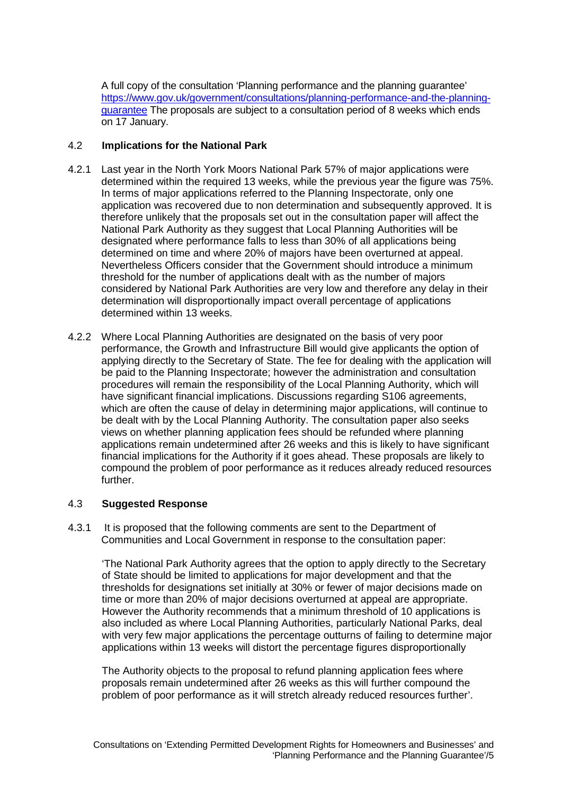A full copy of the consultation 'Planning performance and the planning guarantee' [https://www.gov.uk/government/consultations/planning-performance-and-the-planning](https://www.gov.uk/government/consultations/planning-performance-and-the-planning-guarantee)[guarantee](https://www.gov.uk/government/consultations/planning-performance-and-the-planning-guarantee) The proposals are subject to a consultation period of 8 weeks which ends on 17 January.

## 4.2 **Implications for the National Park**

- 4.2.1 Last year in the North York Moors National Park 57% of major applications were determined within the required 13 weeks, while the previous year the figure was 75%. In terms of major applications referred to the Planning Inspectorate, only one application was recovered due to non determination and subsequently approved. It is therefore unlikely that the proposals set out in the consultation paper will affect the National Park Authority as they suggest that Local Planning Authorities will be designated where performance falls to less than 30% of all applications being determined on time and where 20% of majors have been overturned at appeal. Nevertheless Officers consider that the Government should introduce a minimum threshold for the number of applications dealt with as the number of majors considered by National Park Authorities are very low and therefore any delay in their determination will disproportionally impact overall percentage of applications determined within 13 weeks.
- 4.2.2 Where Local Planning Authorities are designated on the basis of very poor performance, the Growth and Infrastructure Bill would give applicants the option of applying directly to the Secretary of State. The fee for dealing with the application will be paid to the Planning Inspectorate; however the administration and consultation procedures will remain the responsibility of the Local Planning Authority, which will have significant financial implications. Discussions regarding S106 agreements, which are often the cause of delay in determining major applications, will continue to be dealt with by the Local Planning Authority. The consultation paper also seeks views on whether planning application fees should be refunded where planning applications remain undetermined after 26 weeks and this is likely to have significant financial implications for the Authority if it goes ahead. These proposals are likely to compound the problem of poor performance as it reduces already reduced resources further.

#### 4.3 **Suggested Response**

4.3.1 It is proposed that the following comments are sent to the Department of Communities and Local Government in response to the consultation paper:

'The National Park Authority agrees that the option to apply directly to the Secretary of State should be limited to applications for major development and that the thresholds for designations set initially at 30% or fewer of major decisions made on time or more than 20% of major decisions overturned at appeal are appropriate. However the Authority recommends that a minimum threshold of 10 applications is also included as where Local Planning Authorities, particularly National Parks, deal with very few major applications the percentage outturns of failing to determine major applications within 13 weeks will distort the percentage figures disproportionally

The Authority objects to the proposal to refund planning application fees where proposals remain undetermined after 26 weeks as this will further compound the problem of poor performance as it will stretch already reduced resources further'.